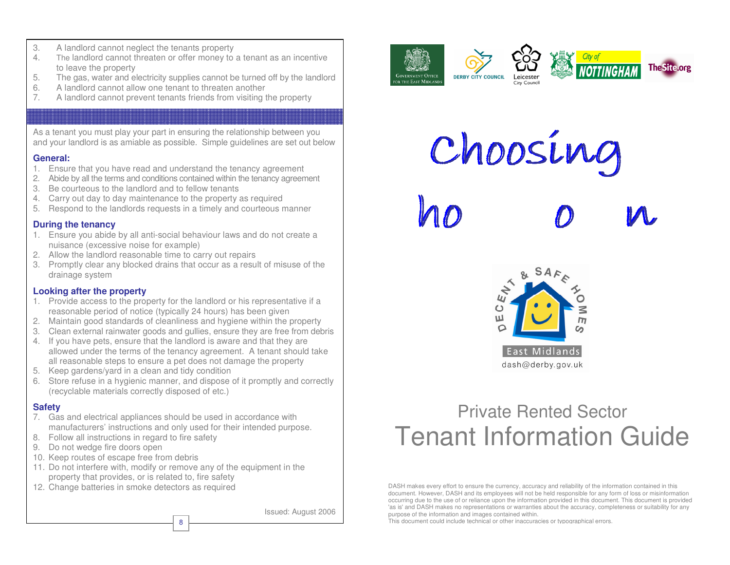- 3. A landlord cannot neglect the tenants property
- 4. The landlord cannot threaten or offer money to a tenant as an incentive to leave the property
- 5. The gas, water and electricity supplies cannot be turned off by the landlord
- 6. A landlord cannot allow one tenant to threaten another
- 7. A landlord cannot prevent tenants friends from visiting the property

**Tenant Responsibilities** 

As a tenant you must play your part in ensuring the relationship between you and your landlord is as amiable as possible. Simple guidelines are set out below

#### **General:**

- 1. Ensure that you have read and understand the tenancy agreement
- 2. Abide by all the terms and conditions contained within the tenancy agreement
- 3. Be courteous to the landlord and to fellow tenants
- 4. Carry out day to day maintenance to the property as required
- 5. Respond to the landlords requests in a timely and courteous manner

#### **During the tenancy**

- 1. Ensure you abide by all anti-social behaviour laws and do not create a nuisance (excessive noise for example)
- 2. Allow the landlord reasonable time to carry out repairs
- 3. Promptly clear any blocked drains that occur as a result of misuse of the drainage system

#### **Looking after the property**

- 1. Provide access to the property for the landlord or his representative if a reasonable period of notice (typically 24 hours) has been given
- 2. Maintain good standards of cleanliness and hygiene within the property
- 3. Clean external rainwater goods and gullies, ensure they are free from debris
- 4. If you have pets, ensure that the landlord is aware and that they are allowed under the terms of the tenancy agreement. A tenant should take all reasonable steps to ensure a pet does not damage the property
- 5. Keep gardens/yard in a clean and tidy condition
- 6. Store refuse in a hygienic manner, and dispose of it promptly and correctly (recyclable materials correctly disposed of etc.)

#### **Safety**

- 7. Gas and electrical appliances should be used in accordance with manufacturers' instructions and only used for their intended purpose.
- 8. Follow all instructions in regard to fire safety
- 9. Do not wedge fire doors open
- 10. Keep routes of escape free from debris
- 11. Do not interfere with, modify or remove any of the equipment in the property that provides, or is related to, fire safety

8

12. Change batteries in smoke detectors as required

Issued: August 2006

Choos ing

 $\mathcal{V}_1$  $\mathcal{O}$ 

**GOVERNMENT OFFICE** 

OR THE EAST MIDLAND



# Private Rented Sector Tenant Information Guide

DASH makes every effort to ensure the currency, accuracy and reliability of the information contained in this document. However, DASH and its employees will not be held responsible for any form of loss or misinformation occurring due to the use of or reliance upon the information provided in this document. This document is provided 'as is'and DASH makes no representations or warranties about the accuracy, completeness or suitability for any purpose of the information and images contained within.

This document could include technical or other inaccuracies or typographical errors.





M

**DERBY CITY COUNCIL** 

 $\mathcal{O}$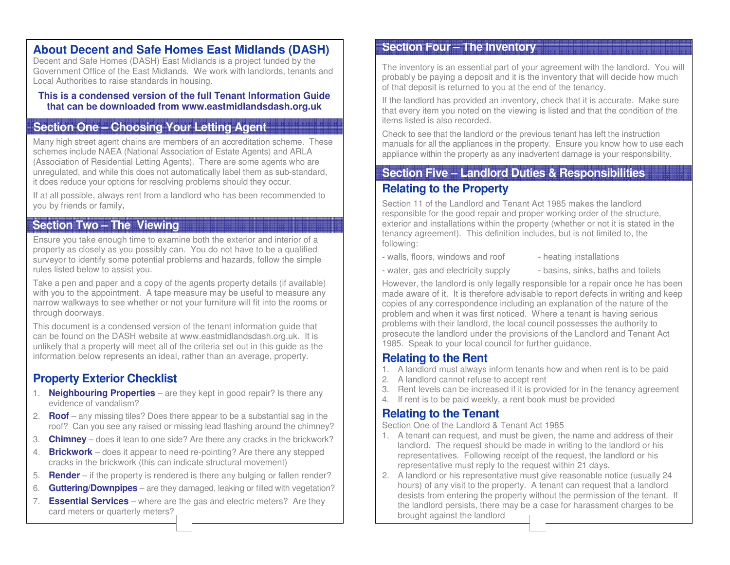#### **About Decent and Safe Homes East Midlands (DASH)**

Decent and Safe Homes (DASH) East Midlands is a project funded by the Government Office of the East Midlands. We work with landlords, tenants and Local Authorities to raise standards in housing.

#### **This is a condensed version of the full Tenant Information Guide that can be downloaded from www.eastmidlandsdash.org.uk**

## **Section One – Choosing Your Letting Agent**

Many high street agent chains are members of an accreditation scheme. These schemes include NAEA (National Association of Estate Agents) and ARLA (Association of Residential Letting Agents). There are some agents who are unregulated, and while this does not automatically label them as sub-standard, it does reduce your options for resolving problems should they occur.

If at all possible, always rent from a landlord who has been recommended to you by friends or family.

# **Section Two – The Viewing**

Ensure you take enough time to examine both the exterior and interior of a property as closely as you possibly can. You do not have to be a qualified surveyor to identify some potential problems and hazards, follow the simple rules listed below to assist you.

Take a pen and paper and a copy of the agents property details (if available) with you to the appointment. A tape measure may be useful to measure any narrow walkways to see whether or not your furniture will fit into the rooms or through doorways.

This document is a condensed version of the tenant information guide that can be found on the DASH website at www.eastmidlandsdash.org.uk. It is unlikely that a property will meet all of the criteria set out in this guide as the information below represents an ideal, rather than an average, property.

# **Property Exterior Checklist**

- 1. **Neighbouring Properties**  are they kept in good repair? Is there any evidence of vandalism?
- 2. **Ro of**  any missing tiles? Does there appear to be a substantial sag in the roof? Can you see any raised or missing lead flashing around the chimney?
- 3. **Chimney**  does it lean to one side? Are there any cracks in the brickwork?
- 4. **Brickwork**  does it appear to need re-pointing? Are there any stepped cracks in the brickwork (this can indicate structural movement)
- 5. **Render**  if the property is rendered is there any bulging or fallen render?
- 6. **Guttering/Downpipes**  are they damaged, leaking or filled with vegetation?
- 7. **Essential Services** where are the gas and electric meters? Are they card meters or quarterly meters?

## **Section Four – The Inventory**

The inventory is an essential part of your agreement with the landlord. You will probably be paying a deposit and it is the inventory that will decide how much of that deposit is returned to you at the end of the tenancy.

If the landlord has provided an inventory, check that it is accurate. Make sure that every item you noted on the viewing is listed and that the condition of the items listed is also recorded.

Check to see that the landlord or the previous tenant has left the instruction manuals for all the appliances in the property. Ensure you know how to use each appliance within the property as any inadvertent damage is your responsibility.

# **Relating to the Property Section Five – Landlord Duties & Responsibilities**

Section 11 of the Landlord and Tenant Act 1985 makes the landlord responsible for the good repair and proper working order of the structure, exterior and installations within the property (whether or not it is stated in the tenancy agreement). This definition includes, but is not limited to, the following:

- walls, floors, windows and roof - heating installations

- 
- water, gas and electricity supply  $\qquad \qquad$  basins, sinks, baths and toilets
- 

However, the landlord is only legally responsible for a repair once he has been made aware of it. It is therefore advisable to report defects in writing and keep copies of any correspondence including an explanation of the nature of the problem and when it was first noticed. Where a tenant is having serious problems with their landlord, the local council possesses the authority to prosecute the landlord under the provisions of the Landlord and Tenant Act 1985. Speak to your local council for further guidance.

## **Relating to the Rent**

- 1. A landlord must always inform tenants how and when rent is to be paid
- 2. A landlord cannot refuse to accept rent
- 3. Rent levels can be increased if it is provided for in the tenancy agreement
- 4. If rent is to be paid weekly, a rent book must be provided

# **Relating to the Tenant**

Section One of the Landlord & Tenant Act 1985

- 1. A tenant can request, and must be given, the name and address of their landlord. The request should be made in writing to the landlord or his representatives. Following receipt of the request, the landlord or his representative must reply to the request within 21 days.
- 2. A landlord or his representative must give reasonable notice (usually 24 hours) of any visit to the property. A tenant can request that a landlord desists from entering the property without the permission of the tenant. If the landlord persists, there may be a case for harassment charges to be brought against the landlord 7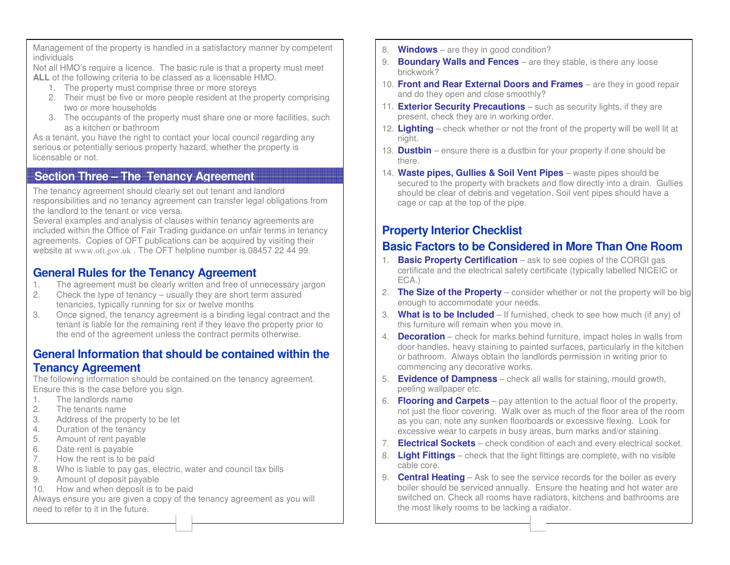Management of the property is handled in a satisfactory manner by competent individuals

Not all HMO's require a licence. The basic rule is that a property must meet **ALL** of the following criteria to be classed as a licensable HMO.

- 1. The property must comprise three or more storeys
- 2. Their must be five or more people resident at the property comprising two or more households
- 3. The occupants of the property must share one or more facilities, such as a kitchen or bathroom

As a tenant, you have the right to contact your local council regarding any serious or potentially serious property hazard, whether the property is licensable or not.

#### **Section Three – The Tenancy Agreement**

The tenancy agreement should clearly set out tenant and landlord responsibilities and no tenancy agreement can transfer legal obligations from the landlord to the tenant or vice versa.

Several examples and analysis of clauses within tenancy agreements are included within the Office of Fair Trading guidance on unfair terms in tenancy agreements. Copies of OFT publications can be acquired by visiting their website at www.oft.gov.uk . The OFT helpline number is 08457 22 44 99.

## **General Rules for the Tenancy Agreement**

- 1. The agreement must be clearly written and free of unnecessary jargon
- 2. Check the type of tenancy usually they are short term assured tenancies, typically running for six or twelve months
- 3. Once signed, the tenancy agreement is a binding legal contract and the tenant is liable for the remaining rent if they leave the property prior to the end of the agreement unless the contract permits otherwise.

#### **General Information that should be contained within the Tenancy Agreement**

The following information should be contained on the tenancy agreement. Ensure this is the case before you sign.

- 1. The landlords name
- 2. The tenants name
- 3. Address of the property to be let
- 4. Duration of the tenancy
- 5. Amount of rent payable
- 6. Date rent is payable
- 7. How the rent is to be paid
- 8. Who is liable to pay gas, electric, water and council tax bills
- 9. Amount of deposit payable
- 10. How and when deposit is to be paid

Always ensure you are given a copy of the tenancy agreement as you will need to refer to it in the future.

- 8. **Windows**  are they in good condition?
- 9. **Boundary Walls and Fences**  are they stable, is there any loose brickwork?
- 10. **Front and Rear External Doors and Frames**  are they in good repair and do they open and close smoothly?
- 11. **Exterior Security Precautions**  such as security lights, if they are present, check they are in working order.
- 12. **Lighting**  check whether or not the front of the property will be well lit at night.
- 13. **Dustbin**  ensure there is a dustbin for your property if one should be there.
- 14. **Waste pipes, Gullies & Soil Vent Pipes**  waste pipes should be secured to the property with brackets and flow directly into a drain. Gullies should be clear of debris and vegetation. Soil vent pipes should have a cage or cap at the top of the pipe.

## **Property Interior Checklist**

6 3

# **Basic Factors to be Considered in More Than One Room**

- 1. **Basic Property Certification**  ask to see copies of the CORGI gas certificate and the electrical safety certificate (typically labelled NICEIC or ECA.)
- 2. **The Size of the Property**  consider whether or not the property will be big enough to accommodate your needs.
- 3. **What is to be Included**  If furnished, check to see how much (if any) of this furniture will remain when you move in.
- 4. **Decoration**  check for marks behind furniture, impact holes in walls from door handles, heavy staining to painted surfaces, particularly in the kitchen or bathroom. Always obtain the landlords permission in writing prior to commencing any decorative works.
- 5. **Evidence of Dampness**  check all walls for staining, mould growth, peeling wallpaper etc.
- 6. **Flooring and Carpets**  pay attention to the actual floor of the property, not just the floor covering. Walk over as much of the floor area of the room as you can, note any sunken floorboards or excessive flexing. Look for excessive wear to carpets in busy areas, burn marks and/or staining.
- 7. **Electrical Sockets**  check condition of each and every electrical socket.
- 8. **Light Fittings**  check that the light fittings are complete, with no visible cable core.
- 9. **Central Heating**  Ask to see the service records for the boiler as every boiler should be serviced annually. Ensure the heating and hot water are switched on. Check all rooms have radiators, kitchens and bathrooms are the most likely rooms to be lacking a radiator.